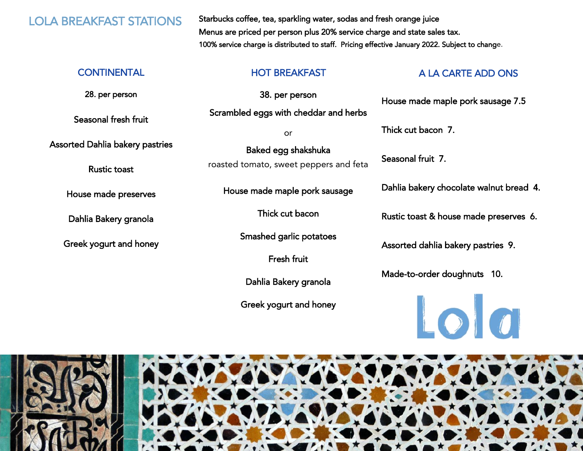LOLA BREAKFAST STATIONS Starbucks coffee, tea, sparkling water, sodas and fresh orange juice Menus are priced per person plus 20% service charge and state sales tax. 100% service charge is distributed to staff. Pricing effective January 2022. Subject to change.

28. per person

Seasonal fresh fruit

Assorted Dahlia bakery pastries

Rustic toast

House made preserves

Dahlia Bakery granola

Greek yogurt and honey

38. per person Scrambled eggs with cheddar and herbs

or

Baked egg shakshuka roasted tomato, sweet peppers and feta

House made maple pork sausage

Thick cut bacon

Smashed garlic potatoes

Fresh fruit

Dahlia Bakery granola

Greek yogurt and honey

### CONTINENTAL THE HOT BREAKFAST A LA CARTE ADD ONS

House made maple pork sausage 7.5

Thick cut bacon 7.

Seasonal fruit 7.

Dahlia bakery chocolate walnut bread 4.

Rustic toast & house made preserves 6.

Assorted dahlia bakery pastries 9.

Made-to-order doughnuts 10.



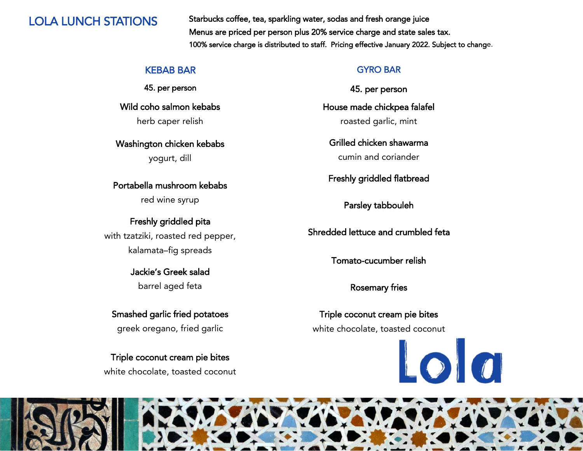LOLA LUNCH STATIONS Starbucks coffee, tea, sparkling water, sodas and fresh orange juice Menus are priced per person plus 20% service charge and state sales tax. 100% service charge is distributed to staff. Pricing effective January 2022. Subject to change.

### KEBAB BAR

45. per person

Wild coho salmon kebabs herb caper relish

Washington chicken kebabs yogurt, dill

# Portabella mushroom kebabs

red wine syrup

# Freshly griddled pita with tzatziki, roasted red pepper, kalamata–fig spreads

Jackie's Greek salad barrel aged feta

Smashed garlic fried potatoes greek oregano, fried garlic

Triple coconut cream pie bites white chocolate, toasted coconut

### GYRO BAR

45. per person

House made chickpea falafel roasted garlic, mint

Grilled chicken shawarma cumin and coriander

Freshly griddled flatbread

Parsley tabbouleh

Shredded lettuce and crumbled feta

Tomato-cucumber relish

Rosemary fries

Triple coconut cream pie bites white chocolate, toasted coconut

Lola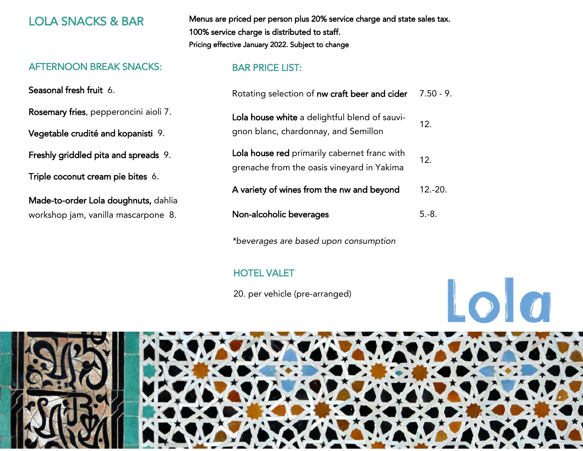### AFTERNOON BREAK SNACKS:

Seasonal fresh fruit 6.

Rosemary fries, pepperoncini aioli 7.

Vegetable crudité and kopanisti 9.

Freshly griddled pita and spreads 9.

Triple coconut cream pie bites 6.

Made-to-order Lola doughnuts, dahlia workshop jam, vanilla mascarpone 8.

LOLA SNACKS & BAR Menus are priced per person plus 20% service charge and state sales tax. 100% service charge is distributed to staff. Pricing effective January 2022. Subject to change

## BAR PRICE LIST:

| Rotating selection of nw craft beer and cider                                              | $7.50 - 9.$     |
|--------------------------------------------------------------------------------------------|-----------------|
| Lola house white a delightful blend of sauvi-<br>gnon blanc, chardonnay, and Semillon      | 12 <sub>1</sub> |
| Lola house red primarily cabernet franc with<br>grenache from the oasis vineyard in Yakima | 12 <sup>°</sup> |
| A variety of wines from the nw and beyond                                                  | $12 - 20$ .     |
| Non-alcoholic beverages                                                                    | $5 - 8$ .       |

*\*beverages are based upon consumption*

# HOTEL VALET

20. per vehicle (pre-arranged)